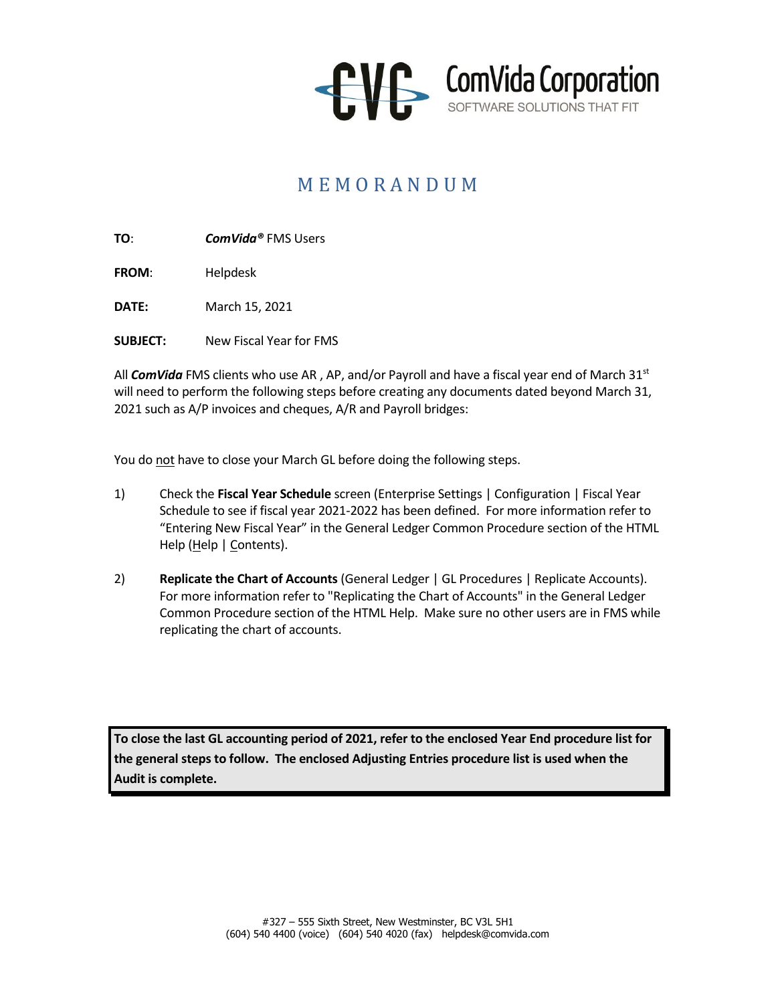

## M E M O R A N D U M

**TO**: *ComVida®* FMS Users

**FROM**: Helpdesk

**DATE:** March 15, 2021

**SUBJECT:** New Fiscal Year for FMS

All **ComVida** FMS clients who use AR, AP, and/or Payroll and have a fiscal year end of March 31<sup>st</sup> will need to perform the following steps before creating any documents dated beyond March 31, 2021 such as A/P invoices and cheques, A/R and Payroll bridges:

You do not have to close your March GL before doing the following steps.

- 1) Check the **Fiscal Year Schedule** screen (Enterprise Settings | Configuration | Fiscal Year Schedule to see if fiscal year 2021-2022 has been defined. For more information refer to "Entering New Fiscal Year" in the General Ledger Common Procedure section of the HTML Help (Help | Contents).
- 2) **Replicate the Chart of Accounts** (General Ledger | GL Procedures | Replicate Accounts). For more information refer to "Replicating the Chart of Accounts" in the General Ledger Common Procedure section of the HTML Help. Make sure no other users are in FMS while replicating the chart of accounts.

**To close the last GL accounting period of 2021, refer to the enclosed Year End procedure list for the general steps to follow. The enclosed Adjusting Entries procedure list is used when the Audit is complete.**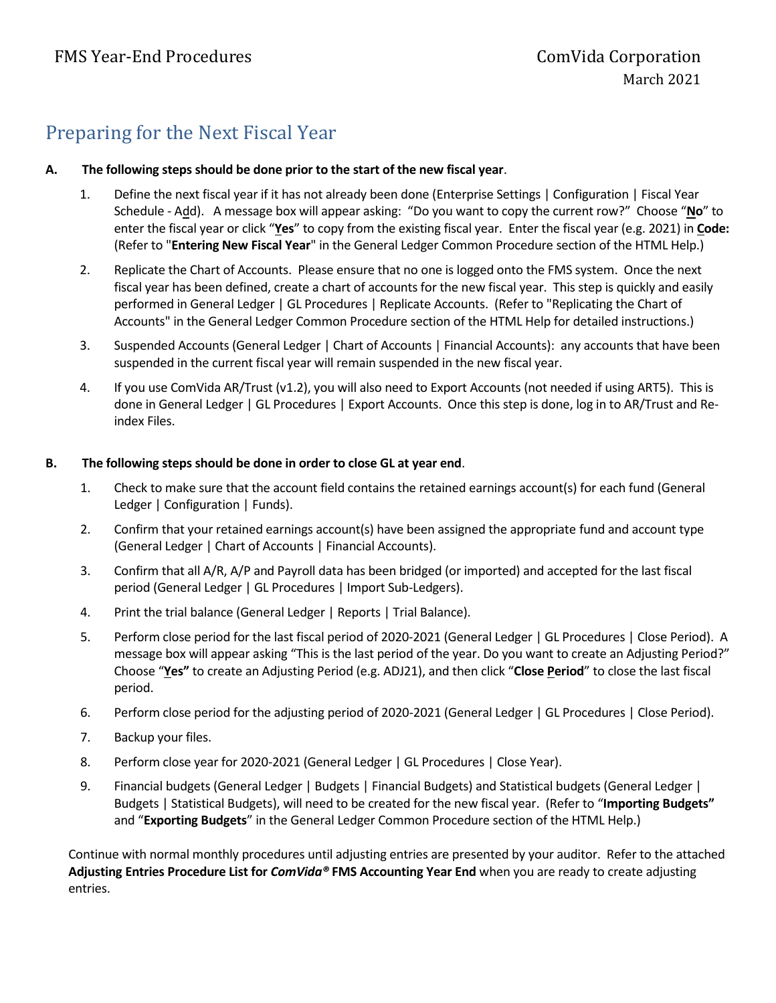## Preparing for the Next Fiscal Year

### **A. The following steps should be done prior to the start of the new fiscal year**.

- 1. Define the next fiscal year if it has not already been done (Enterprise Settings | Configuration | Fiscal Year Schedule - Add). A message box will appear asking: "Do you want to copy the current row?" Choose "**No**" to enter the fiscal year or click "**Yes**" to copy from the existing fiscal year. Enter the fiscal year (e.g. 2021) in **Code:** (Refer to "**Entering New Fiscal Year**" in the General Ledger Common Procedure section of the HTML Help.)
- 2. Replicate the Chart of Accounts. Please ensure that no one is logged onto the FMS system. Once the next fiscal year has been defined, create a chart of accounts for the new fiscal year. This step is quickly and easily performed in General Ledger | GL Procedures | Replicate Accounts. (Refer to "Replicating the Chart of Accounts" in the General Ledger Common Procedure section of the HTML Help for detailed instructions.)
- 3. Suspended Accounts (General Ledger | Chart of Accounts | Financial Accounts): any accounts that have been suspended in the current fiscal year will remain suspended in the new fiscal year.
- 4. If you use ComVida AR/Trust (v1.2), you will also need to Export Accounts (not needed if using ART5). This is done in General Ledger | GL Procedures | Export Accounts. Once this step is done, log in to AR/Trust and Reindex Files.

#### **B. The following steps should be done in order to close GL at year end**.

- 1. Check to make sure that the account field contains the retained earnings account(s) for each fund (General Ledger | Configuration | Funds).
- 2. Confirm that your retained earnings account(s) have been assigned the appropriate fund and account type (General Ledger | Chart of Accounts | Financial Accounts).
- 3. Confirm that all A/R, A/P and Payroll data has been bridged (or imported) and accepted for the last fiscal period (General Ledger | GL Procedures | Import Sub-Ledgers).
- 4. Print the trial balance (General Ledger | Reports | Trial Balance).
- 5. Perform close period for the last fiscal period of 2020-2021 (General Ledger | GL Procedures | Close Period). A message box will appear asking "This is the last period of the year. Do you want to create an Adjusting Period?" Choose "**Yes"** to create an Adjusting Period (e.g. ADJ21), and then click "**Close Period**" to close the last fiscal period.
- 6. Perform close period for the adjusting period of 2020-2021 (General Ledger | GL Procedures | Close Period).
- 7. Backup your files.
- 8. Perform close year for 2020-2021 (General Ledger | GL Procedures | Close Year).
- 9. Financial budgets (General Ledger | Budgets | Financial Budgets) and Statistical budgets (General Ledger | Budgets | Statistical Budgets), will need to be created for the new fiscal year. (Refer to "**Importing Budgets"** and "**Exporting Budgets**" in the General Ledger Common Procedure section of the HTML Help.)

Continue with normal monthly procedures until adjusting entries are presented by your auditor. Refer to the attached **Adjusting Entries Procedure List for** *ComVida®* **FMS Accounting Year End** when you are ready to create adjusting entries.